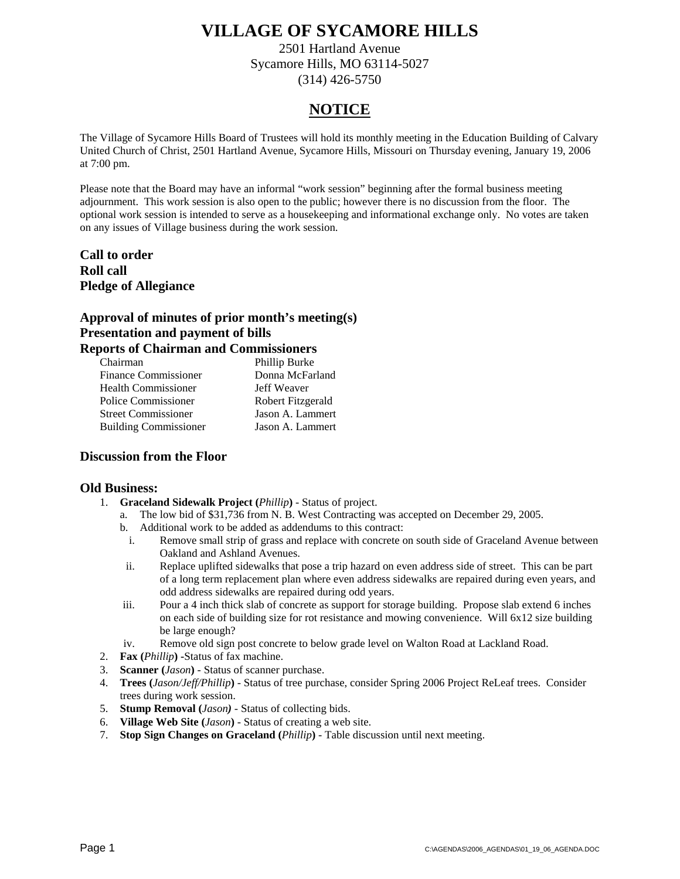2501 Hartland Avenue Sycamore Hills, MO 63114-5027 (314) 426-5750

### **NOTICE**

The Village of Sycamore Hills Board of Trustees will hold its monthly meeting in the Education Building of Calvary United Church of Christ, 2501 Hartland Avenue, Sycamore Hills, Missouri on Thursday evening, January 19, 2006 at 7:00 pm.

Please note that the Board may have an informal "work session" beginning after the formal business meeting adjournment. This work session is also open to the public; however there is no discussion from the floor. The optional work session is intended to serve as a housekeeping and informational exchange only. No votes are taken on any issues of Village business during the work session.

**Call to order Roll call Pledge of Allegiance** 

#### **Approval of minutes of prior month's meeting(s) Presentation and payment of bills Reports of Chairman and Commissioners**

| рогиз от Спангният ана Сонинизмонств |                   |
|--------------------------------------|-------------------|
| Chairman                             | Phillip Burke     |
| <b>Finance Commissioner</b>          | Donna McFarland   |
| <b>Health Commissioner</b>           | Jeff Weaver       |
| Police Commissioner                  | Robert Fitzgerald |
| <b>Street Commissioner</b>           | Jason A. Lammert  |
| <b>Building Commissioner</b>         | Jason A. Lammert  |

#### **Discussion from the Floor**

#### **Old Business:**

- 1. **Graceland Sidewalk Project (***Phillip***)** Status of project.
	- a. The low bid of \$31,736 from N. B. West Contracting was accepted on December 29, 2005.
	- b. Additional work to be added as addendums to this contract:
	- i. Remove small strip of grass and replace with concrete on south side of Graceland Avenue between Oakland and Ashland Avenues.
	- ii. Replace uplifted sidewalks that pose a trip hazard on even address side of street. This can be part of a long term replacement plan where even address sidewalks are repaired during even years, and odd address sidewalks are repaired during odd years.
	- iii. Pour a 4 inch thick slab of concrete as support for storage building. Propose slab extend 6 inches on each side of building size for rot resistance and mowing convenience. Will 6x12 size building be large enough?
	- iv. Remove old sign post concrete to below grade level on Walton Road at Lackland Road.
- 2. **Fax (***Phillip***) -**Status of fax machine.
- 3. **Scanner (***Jason***)** Status of scanner purchase.
- 4. **Trees (***Jason/Jeff/Phillip***)** Status of tree purchase, consider Spring 2006 Project ReLeaf trees. Consider trees during work session.
- 5. **Stump Removal (***Jason)* Status of collecting bids.
- 6. **Village Web Site (***Jason***)** Status of creating a web site.
- 7. **Stop Sign Changes on Graceland (***Phillip***)** Table discussion until next meeting.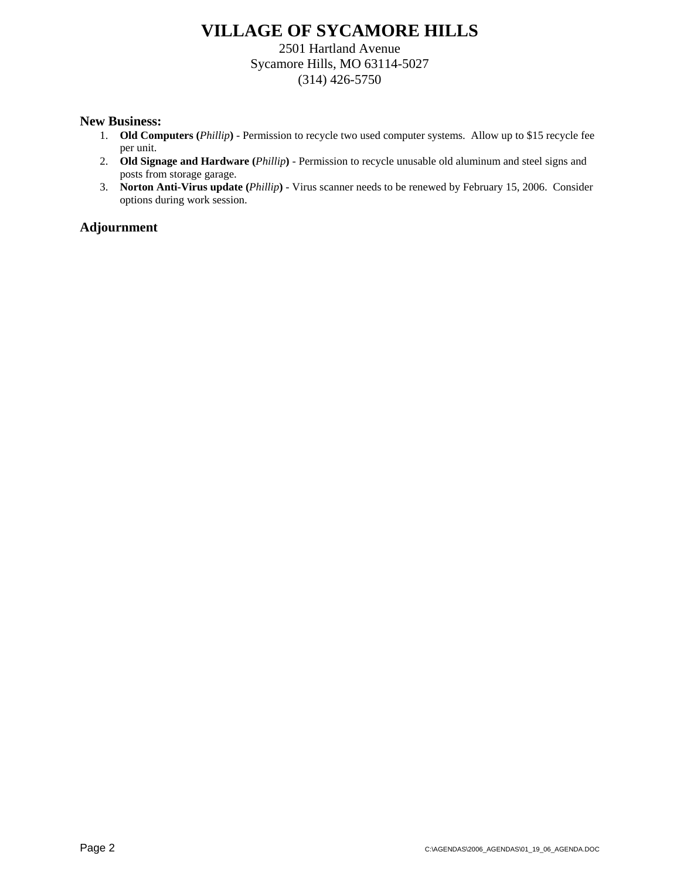2501 Hartland Avenue Sycamore Hills, MO 63114-5027 (314) 426-5750

#### **New Business:**

- 1. **Old Computers (***Phillip***)** Permission to recycle two used computer systems. Allow up to \$15 recycle fee per unit.
- 2. **Old Signage and Hardware (***Phillip***)** Permission to recycle unusable old aluminum and steel signs and posts from storage garage.
- 3. **Norton Anti-Virus update (***Phillip***)** Virus scanner needs to be renewed by February 15, 2006. Consider options during work session.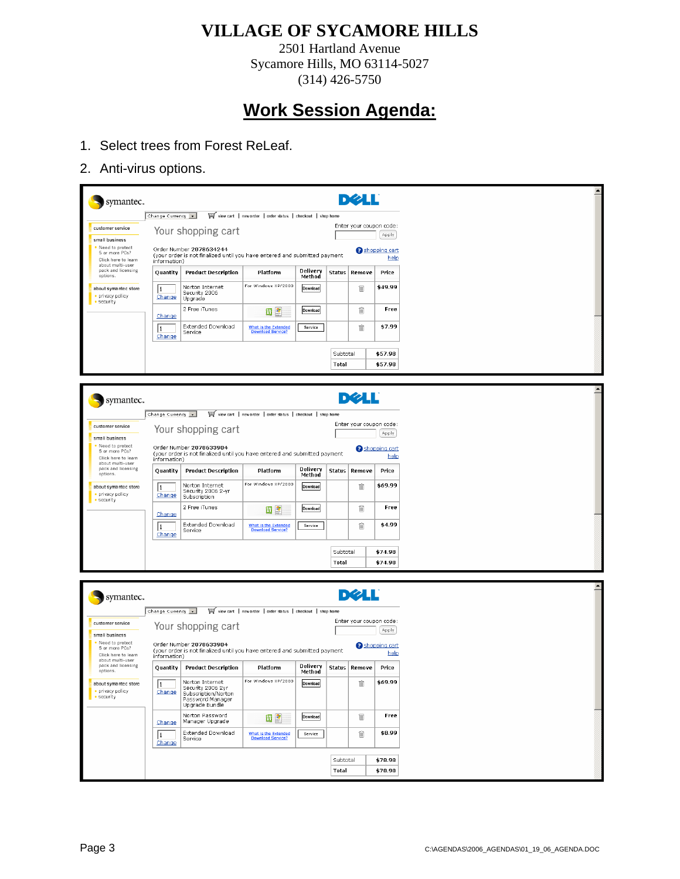2501 Hartland Avenue Sycamore Hills, MO 63114-5027 (314) 426-5750

- 1. Select trees from Forest ReLeaf.
- 2. Anti-virus options.

| symantec.                                                 |                   |                                                                                                      |                                                             |                    |               | <b>DØLL</b>             |                                |  |
|-----------------------------------------------------------|-------------------|------------------------------------------------------------------------------------------------------|-------------------------------------------------------------|--------------------|---------------|-------------------------|--------------------------------|--|
|                                                           | Change Currency v |                                                                                                      | view cart   new order   order status   checkout   shop home |                    |               |                         |                                |  |
| customer service                                          |                   | Your shopping cart                                                                                   |                                                             |                    |               | Enter your coupon code: | Apply                          |  |
| small business<br>• Need to protect                       |                   | Order Number 2078634244<br><b>B</b> shopping cart                                                    |                                                             |                    |               |                         |                                |  |
| 5 or more PCs?<br>Click here to learn                     | information)      | (your order is not finalized until you have entered and submitted payment                            |                                                             |                    |               |                         | help                           |  |
| about multi-user<br>pack and licensing<br>options.        | Quantity          | <b>Product Description</b>                                                                           | Platform                                                    | Delivery<br>Method | <b>Status</b> | Remove                  | Price                          |  |
| about symantec store                                      | lı.               | Norton Internet                                                                                      | For Windows XP/2000                                         | Download           |               | 圙                       | \$49.99                        |  |
| privacy policy<br>$\cdot$ security                        | Change            | Security 2006<br>Upgrade                                                                             |                                                             |                    |               |                         |                                |  |
|                                                           | Change            | 2 Free iTunes                                                                                        | 四型                                                          | Download           |               | m                       | Free                           |  |
|                                                           | l1                | Extended Download                                                                                    | What is the Extended                                        | Service            |               | 圙                       | \$7.99                         |  |
|                                                           | <b>Change</b>     | Service                                                                                              | <b>Download Service?</b>                                    |                    |               |                         |                                |  |
|                                                           |                   |                                                                                                      |                                                             |                    | Subtotal      |                         | \$57.98                        |  |
|                                                           |                   |                                                                                                      |                                                             |                    | <b>Total</b>  |                         | \$57.98                        |  |
|                                                           |                   |                                                                                                      |                                                             |                    |               |                         |                                |  |
|                                                           |                   |                                                                                                      |                                                             |                    |               | <b>DØLL</b>             |                                |  |
| symantec.                                                 |                   |                                                                                                      |                                                             |                    |               |                         |                                |  |
|                                                           | Change Currency v |                                                                                                      | view cart   new order   order status   checkout   shop home |                    |               | Enter your coupon code: |                                |  |
| customer service                                          |                   | Your shopping cart                                                                                   |                                                             |                    |               |                         | Apply                          |  |
| small business<br>Need to protect                         |                   | Order Number 2078633904                                                                              |                                                             |                    |               |                         | <b>B</b> shopping cart         |  |
| 5 or more PCs?<br>Click here to learn<br>about multi-user | information)      | (your order is not finalized until you have entered and submitted payment                            |                                                             |                    |               |                         | help                           |  |
| pack and licensing<br>options.                            | Quantity          | <b>Product Description</b>                                                                           | Platform                                                    | Delivery<br>Method | <b>Status</b> | Remove                  | Price                          |  |
| about symantec store                                      | l1.               | Norton Internet<br>Security 2006 2-yr                                                                | For Windows XP/2000                                         | Download           |               | 圙                       | \$69.99                        |  |
| · privacy policy<br>• security                            | Change            | Subscription                                                                                         |                                                             |                    |               |                         |                                |  |
|                                                           | Change            | 2 Free iTunes                                                                                        | 四章                                                          | Download           |               | 圙                       | Free                           |  |
|                                                           | l1                | Extended Download<br>Service                                                                         | What is the Extended<br>Download Service?                   | Service            |               | m                       | \$4.99                         |  |
|                                                           | Change            |                                                                                                      |                                                             |                    |               |                         |                                |  |
|                                                           |                   |                                                                                                      |                                                             |                    | Subtotal      |                         | \$74.98                        |  |
|                                                           |                   |                                                                                                      |                                                             |                    | <b>Total</b>  |                         | \$74.98                        |  |
|                                                           |                   |                                                                                                      |                                                             |                    |               |                         |                                |  |
| symantec.                                                 |                   |                                                                                                      |                                                             |                    |               | DØLL                    |                                |  |
|                                                           | Change Currency v |                                                                                                      | view cart   new order   order status   checkout   shop home |                    |               |                         |                                |  |
| customer service                                          |                   |                                                                                                      |                                                             |                    |               | Enter your coupon code: |                                |  |
| small business                                            |                   | Your shopping cart                                                                                   |                                                             |                    |               |                         | Apply                          |  |
| Need to protect<br>5 or more PCs?<br>Click here to learn  | information)      | Order Number 2078633904<br>(your order is not finalized until you have entered and submitted payment |                                                             |                    |               |                         | <b>a</b> shopping cart<br>help |  |
| about multi-user<br>pack and licensing<br>options.        | <b>Quantity</b>   | <b>Product Description</b>                                                                           | Platform                                                    | Delivery<br>Method | <b>Status</b> | Remove                  | Price                          |  |
| about symantec store                                      | $\sqrt{1}$        | Norton Internet                                                                                      | For Windows XP/2000 Download                                |                    |               | Ŵ                       | \$69.99                        |  |
| · privacy policy<br>· security                            | Change            | Security 2006 2yr<br>Subscription/Norton<br>Password Manager<br>Upgrade Bundle                       |                                                             |                    |               |                         |                                |  |
|                                                           | Change            | Norton Password<br>Manager Upgrade                                                                   | <b>WE</b>                                                   | Download           |               | û                       | Free                           |  |
|                                                           | l1<br>Change      | Extended Download<br>Service                                                                         | What is the Extended<br>Download Service?                   | Service            |               | û                       | \$8.99                         |  |
|                                                           |                   |                                                                                                      |                                                             |                    |               |                         |                                |  |
| \$78.98<br>Subtotal                                       |                   |                                                                                                      |                                                             |                    |               |                         |                                |  |
|                                                           |                   |                                                                                                      |                                                             |                    | Total         |                         | \$78.98                        |  |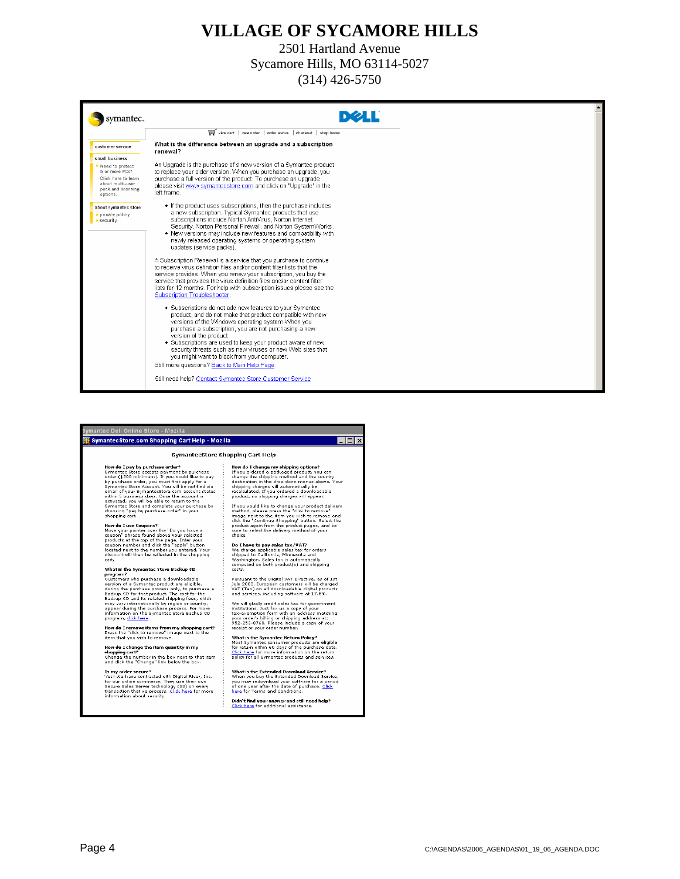2501 Hartland Avenue Sycamore Hills, MO 63114-5027 (314) 426-5750

| symantec.                                                                                                      |                                                                                                                                                                                                                                                                                                                                                                                                                                                                                          |
|----------------------------------------------------------------------------------------------------------------|------------------------------------------------------------------------------------------------------------------------------------------------------------------------------------------------------------------------------------------------------------------------------------------------------------------------------------------------------------------------------------------------------------------------------------------------------------------------------------------|
|                                                                                                                | view cart   new order   order status   checkout   shop home                                                                                                                                                                                                                                                                                                                                                                                                                              |
| customer service                                                                                               | What is the difference between an upgrade and a subscription<br>renewal?                                                                                                                                                                                                                                                                                                                                                                                                                 |
| small business                                                                                                 |                                                                                                                                                                                                                                                                                                                                                                                                                                                                                          |
| Need to protect<br>5 or more PCs?<br>Click here to learn<br>about multi-user<br>pack and licensing<br>options. | An Upgrade is the purchase of a new version of a Symantec product<br>to replace your older version. When you purchase an upgrade, you<br>purchase a full version of the product. To purchase an upgrade<br>please visit www.symantecstore.com and click on "Upgrade" in the<br>left frame.                                                                                                                                                                                               |
| about symantec store<br>· privacy policy<br>$\bullet$ security                                                 | • If the product uses subscriptions, then the purchase includes<br>a new subscription. Typical Symantec products that use<br>subscriptions include Norton AntiVirus, Norton Internet<br>Security, Norton Personal Firewall, and Norton SystemWorks.<br>• New versions may include new features and compatibility with<br>newly released operating systems or operating system<br>updates (service packs).                                                                                |
|                                                                                                                | A Subscription Renewal is a service that you purchase to continue<br>to receive virus definition files and/or content filter lists that the<br>service provides. When you renew your subscription, you buy the<br>service that provides the virus definition files and/or content filter<br>lists for 12 months. For help with subscription issues please see the<br>Subscription Troubleshooter.                                                                                        |
|                                                                                                                | • Subscriptions do not add new features to your Symantec<br>product, and do not make that product compatible with new<br>versions of the Windows operating system.When you<br>purchase a subscription, you are not purchasing a new<br>version of the product<br>• Subscriptions are used to keep your product aware of new<br>security threats such as new viruses or new Web sites that<br>you might want to block from your computer.<br>Still more questions? Back to Main Help Page |
|                                                                                                                | Still need help? Contact Symantec Store Customer Service                                                                                                                                                                                                                                                                                                                                                                                                                                 |

 $\boxed{\Box}$ 

#### ec Dell Online Store - Mozilla .<br>SymantecStore.com Shopping Cart Help - Mozilla

#### SymantecStore Shopping Cart Help

**How do I pay by purchase order**<br>Symantes Chora cocapts<br>order (\$500 minimum). If you would like to pay<br>by purchase order (\$500 minimum). If you would like to pay<br>by purchase order, you must first apply for a<br>symantes of sy

shopping cart.<br>
How do I use Coupons?<br>
How do I use Coupons?<br>
Move your pointer over the "Do you have a<br>
coupon" phrass found above your selected<br>
products at the top of the page. Enter your<br>
coupon number and click the "a

What is the Symantec Store Backup CD

**What is the Symmates Store Backup CD**<br> **Customers Mondately, Customer Store All and Mondately discussions**<br>
during the purchase process only, to purchase a<br>
during the purchase process only, to purchase a<br>
Backup CD for

How do I remove items from my shopping cart?<br>Press the "dick to remove" image next to the<br>item that you wish to remove.

How do I change the item quantity in my<br>shopping cart?<br>Change the number in the box next to that item<br>and dick the "Change" link below the box.

**Is my order secure?**<br>Yes! We have contracted with Digital River, Inc.<br>for our online commerce. They use their own<br>Secure Sales Server technology (S3) on every<br>transaction that we process. <u>Click here</u> for more<br>informatio

How do I change my shipping options?<br>If you ordered a packaged product, you can<br>change the shipping method and the country<br>destination in the drop down menus above. Your<br>shipping changes will automatically be<br>recalculated

reaction.ce. In you choese a during<br>the product, no shipping charges will appear.<br>If you would like to change your product dailyery<br>maps next to the term ve wish to remove and<br>dick the "Continue Shopping" button. Select th

Do I have to pay sales tax/VAT?<br>We charge applicable sales tax for orders<br>whe charge applicable sales tax for orders<br>shipped to California, Minnesota and<br>Washington, Sales tax is automatically<br>costs.

Pursuant to the Digital VAT Directive, as of 1st<br>July 2003, European customers will be charged<br>VAT (Tax) on all downloadable digital products<br>and services, including software at 17.5%.

We will gladly credit sales tax for government<br>institutions. Just fax us a copy of your order's<br>tax-exemption form with an address matching<br>your order's billing or shipping address at:<br>952-253-8760, Please include a copy o

What is the Symantec Return Policy?<br>Most Symantec consumer products are eligible<br>for return within 60 days of the purchase date.<br> $\frac{C \text{lick here}}{C \text{lick here}}$  for more information on the return<br>policy for all Symantec products and

What is the Extended Download Service?<br>When you buy the Extended Download Service,<br>you may redownload your software for a period<br>of one year after the date of purchase. <u>Click</u><br>here for Terms and Conditions.

Didn't find your answer and still need help?<br><u>Click here</u> for additional assistance.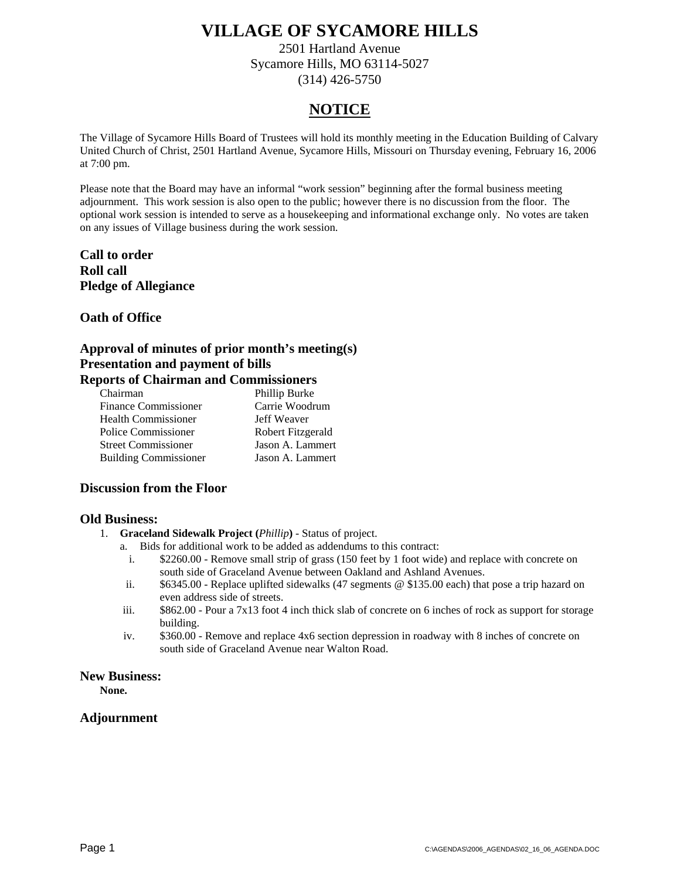2501 Hartland Avenue Sycamore Hills, MO 63114-5027 (314) 426-5750

### **NOTICE**

The Village of Sycamore Hills Board of Trustees will hold its monthly meeting in the Education Building of Calvary United Church of Christ, 2501 Hartland Avenue, Sycamore Hills, Missouri on Thursday evening, February 16, 2006 at 7:00 pm.

Please note that the Board may have an informal "work session" beginning after the formal business meeting adjournment. This work session is also open to the public; however there is no discussion from the floor. The optional work session is intended to serve as a housekeeping and informational exchange only. No votes are taken on any issues of Village business during the work session.

#### **Call to order Roll call Pledge of Allegiance**

#### **Oath of Office**

#### **Approval of minutes of prior month's meeting(s) Presentation and payment of bills Reports of Chairman and Commissioners**

| Chairman                     | Phillip Burke     |
|------------------------------|-------------------|
| <b>Finance Commissioner</b>  | Carrie Woodrum    |
| <b>Health Commissioner</b>   | Jeff Weaver       |
| Police Commissioner          | Robert Fitzgerald |
| <b>Street Commissioner</b>   | Jason A. Lammert  |
| <b>Building Commissioner</b> | Jason A. Lammert  |

#### **Discussion from the Floor**

#### **Old Business:**

- 1. **Graceland Sidewalk Project (***Phillip***)** Status of project.
	- a. Bids for additional work to be added as addendums to this contract:
		- i. \$2260.00 Remove small strip of grass (150 feet by 1 foot wide) and replace with concrete on south side of Graceland Avenue between Oakland and Ashland Avenues.
	- ii. \$6345.00 Replace uplifted sidewalks (47 segments @ \$135.00 each) that pose a trip hazard on even address side of streets.
	- iii. \$862.00 Pour a 7x13 foot 4 inch thick slab of concrete on 6 inches of rock as support for storage building.
	- iv. \$360.00 Remove and replace 4x6 section depression in roadway with 8 inches of concrete on south side of Graceland Avenue near Walton Road.

#### **New Business:**

**None.**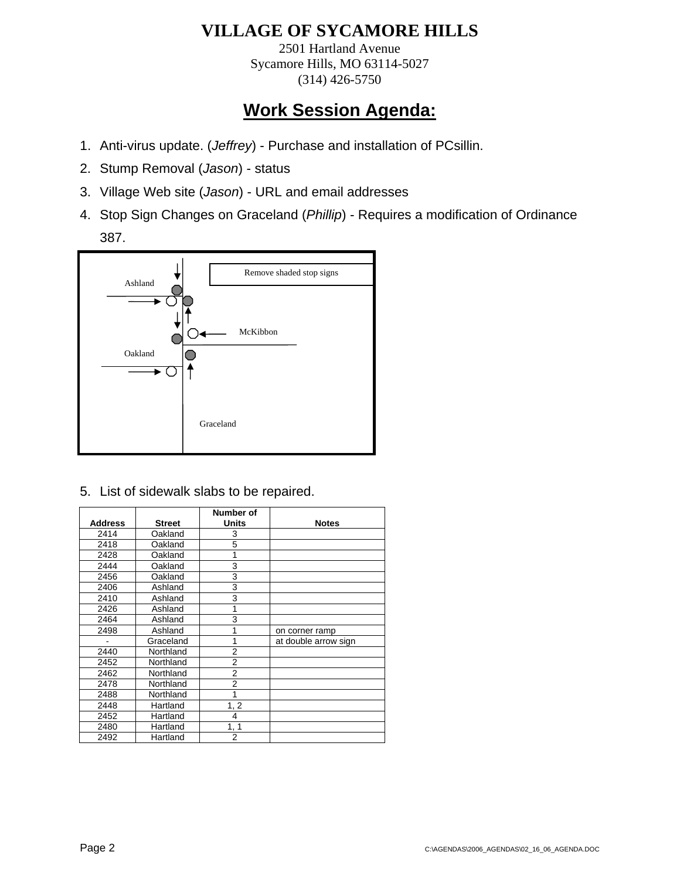2501 Hartland Avenue Sycamore Hills, MO 63114-5027 (314) 426-5750

# **Work Session Agenda:**

- 1. Anti-virus update. (*Jeffrey*) Purchase and installation of PCsillin.
- 2. Stump Removal (*Jason*) status
- 3. Village Web site (*Jason*) URL and email addresses
- 4. Stop Sign Changes on Graceland (*Phillip*) Requires a modification of Ordinance 387.



5. List of sidewalk slabs to be repaired.

|                |               | Number of      |                      |
|----------------|---------------|----------------|----------------------|
| <b>Address</b> | <b>Street</b> | <b>Units</b>   | <b>Notes</b>         |
| 2414           | Oakland       | 3              |                      |
| 2418           | Oakland       | 5              |                      |
| 2428           | Oakland       | 1              |                      |
| 2444           | Oakland       | 3              |                      |
| 2456           | Oakland       | 3              |                      |
| 2406           | Ashland       | 3              |                      |
| 2410           | Ashland       | 3              |                      |
| 2426           | Ashland       | 1              |                      |
| 2464           | Ashland       | 3              |                      |
| 2498           | Ashland       | 1              | on corner ramp       |
|                | Graceland     | 1              | at double arrow sign |
| 2440           | Northland     | $\overline{2}$ |                      |
| 2452           | Northland     | $\overline{2}$ |                      |
| 2462           | Northland     | 2              |                      |
| 2478           | Northland     | $\overline{2}$ |                      |
| 2488           | Northland     | 1              |                      |
| 2448           | Hartland      | 1, 2           |                      |
| 2452           | Hartland      | $\overline{4}$ |                      |
| 2480           | Hartland      | 1, 1           |                      |
| 2492           | Hartland      | 2              |                      |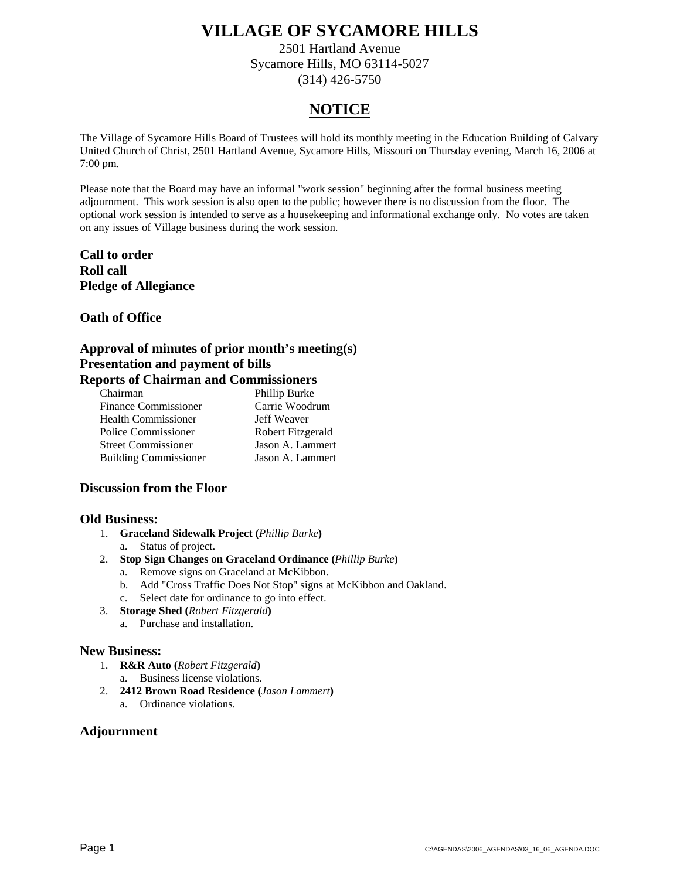2501 Hartland Avenue Sycamore Hills, MO 63114-5027 (314) 426-5750

### **NOTICE**

The Village of Sycamore Hills Board of Trustees will hold its monthly meeting in the Education Building of Calvary United Church of Christ, 2501 Hartland Avenue, Sycamore Hills, Missouri on Thursday evening, March 16, 2006 at 7:00 pm.

Please note that the Board may have an informal "work session" beginning after the formal business meeting adjournment. This work session is also open to the public; however there is no discussion from the floor. The optional work session is intended to serve as a housekeeping and informational exchange only. No votes are taken on any issues of Village business during the work session.

#### **Call to order Roll call Pledge of Allegiance**

#### **Oath of Office**

#### **Approval of minutes of prior month's meeting(s) Presentation and payment of bills Reports of Chairman and Commissioners**

| Chairman                     | Phillip Burke     |
|------------------------------|-------------------|
| <b>Finance Commissioner</b>  | Carrie Woodrum    |
| <b>Health Commissioner</b>   | Jeff Weaver       |
| Police Commissioner          | Robert Fitzgerald |
| <b>Street Commissioner</b>   | Jason A. Lammert  |
| <b>Building Commissioner</b> | Jason A. Lammert  |

#### **Discussion from the Floor**

#### **Old Business:**

- 1. **Graceland Sidewalk Project (***Phillip Burke***)**
	- a. Status of project.
- 2. **Stop Sign Changes on Graceland Ordinance (***Phillip Burke***)**
	- a. Remove signs on Graceland at McKibbon.
	- b. Add "Cross Traffic Does Not Stop" signs at McKibbon and Oakland.
	- c. Select date for ordinance to go into effect.
- 3. **Storage Shed (***Robert Fitzgerald***)**
	- a. Purchase and installation.

#### **New Business:**

- 1. **R&R Auto (***Robert Fitzgerald***)**
	- a. Business license violations.
- 2. **2412 Brown Road Residence (***Jason Lammert***)**
	- a. Ordinance violations.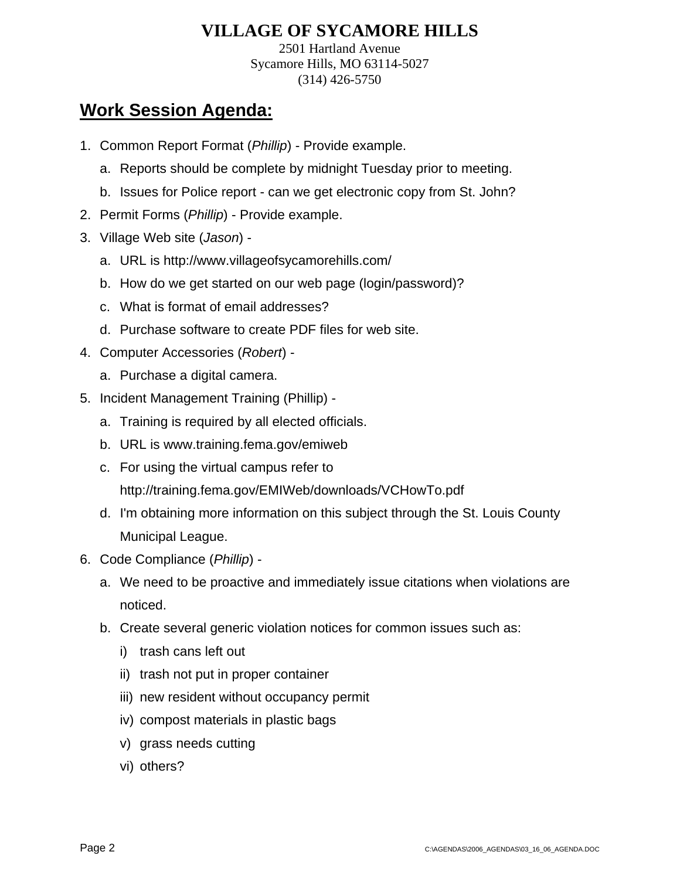2501 Hartland Avenue Sycamore Hills, MO 63114-5027 (314) 426-5750

# **Work Session Agenda:**

- 1. Common Report Format (*Phillip*) Provide example.
	- a. Reports should be complete by midnight Tuesday prior to meeting.
	- b. Issues for Police report can we get electronic copy from St. John?
- 2. Permit Forms (*Phillip*) Provide example.
- 3. Village Web site (*Jason*)
	- a. URL is http://www.villageofsycamorehills.com/
	- b. How do we get started on our web page (login/password)?
	- c. What is format of email addresses?
	- d. Purchase software to create PDF files for web site.
- 4. Computer Accessories (*Robert*)
	- a. Purchase a digital camera.
- 5. Incident Management Training (Phillip)
	- a. Training is required by all elected officials.
	- b. URL is www.training.fema.gov/emiweb
	- c. For using the virtual campus refer to

http://training.fema.gov/EMIWeb/downloads/VCHowTo.pdf

- d. I'm obtaining more information on this subject through the St. Louis County Municipal League.
- 6. Code Compliance (*Phillip*)
	- a. We need to be proactive and immediately issue citations when violations are noticed.
	- b. Create several generic violation notices for common issues such as:
		- i) trash cans left out
		- ii) trash not put in proper container
		- iii) new resident without occupancy permit
		- iv) compost materials in plastic bags
		- v) grass needs cutting
		- vi) others?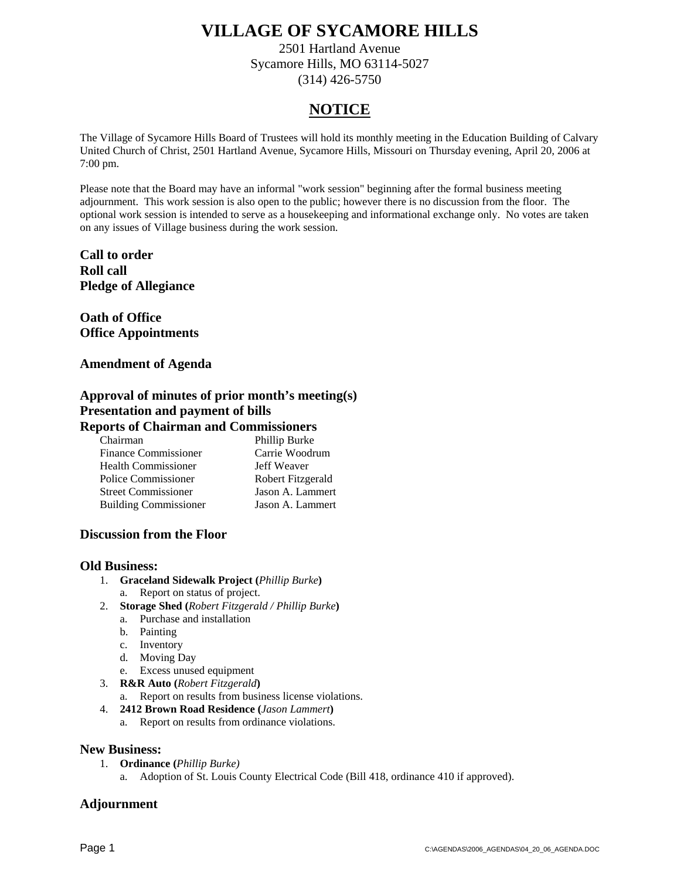2501 Hartland Avenue Sycamore Hills, MO 63114-5027 (314) 426-5750

### **NOTICE**

The Village of Sycamore Hills Board of Trustees will hold its monthly meeting in the Education Building of Calvary United Church of Christ, 2501 Hartland Avenue, Sycamore Hills, Missouri on Thursday evening, April 20, 2006 at 7:00 pm.

Please note that the Board may have an informal "work session" beginning after the formal business meeting adjournment. This work session is also open to the public; however there is no discussion from the floor. The optional work session is intended to serve as a housekeeping and informational exchange only. No votes are taken on any issues of Village business during the work session.

**Call to order Roll call Pledge of Allegiance** 

**Oath of Office Office Appointments** 

**Amendment of Agenda** 

#### **Approval of minutes of prior month's meeting(s) Presentation and payment of bills Reports of Chairman and Commissioners**

| $_{\rm spor}$ is of Chan man and Commissioners |                   |
|------------------------------------------------|-------------------|
| Chairman                                       | Phillip Burke     |
| <b>Finance Commissioner</b>                    | Carrie Woodrum    |
| <b>Health Commissioner</b>                     | Jeff Weaver       |
| Police Commissioner                            | Robert Fitzgerald |
| <b>Street Commissioner</b>                     | Jason A. Lammert  |
| <b>Building Commissioner</b>                   | Jason A. Lammert  |

#### **Discussion from the Floor**

#### **Old Business:**

- 1. **Graceland Sidewalk Project (***Phillip Burke***)**
	- a. Report on status of project.
- 2. **Storage Shed (***Robert Fitzgerald / Phillip Burke***)**
	- a. Purchase and installation
	- b. Painting
	- c. Inventory
	- d. Moving Day
	- e. Excess unused equipment
- 3. **R&R Auto (***Robert Fitzgerald***)**
	- a. Report on results from business license violations.
- 4. **2412 Brown Road Residence (***Jason Lammert***)**
	- a. Report on results from ordinance violations.

#### **New Business:**

- 1. **Ordinance (***Phillip Burke)*
	- a. Adoption of St. Louis County Electrical Code (Bill 418, ordinance 410 if approved).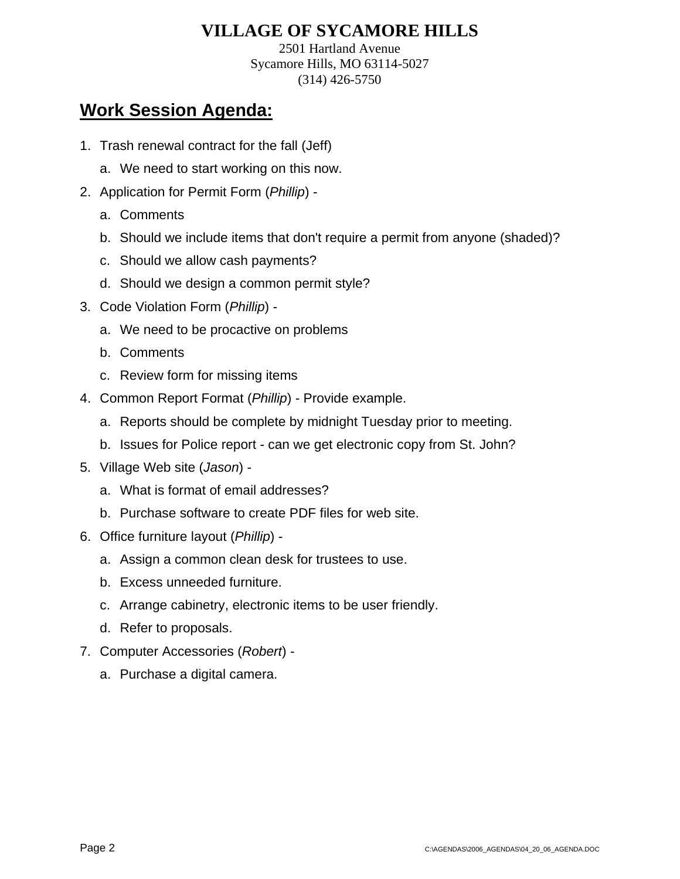2501 Hartland Avenue Sycamore Hills, MO 63114-5027 (314) 426-5750

- 1. Trash renewal contract for the fall (Jeff)
	- a. We need to start working on this now.
- 2. Application for Permit Form (*Phillip*)
	- a. Comments
	- b. Should we include items that don't require a permit from anyone (shaded)?
	- c. Should we allow cash payments?
	- d. Should we design a common permit style?
- 3. Code Violation Form (*Phillip*)
	- a. We need to be procactive on problems
	- b. Comments
	- c. Review form for missing items
- 4. Common Report Format (*Phillip*) Provide example.
	- a. Reports should be complete by midnight Tuesday prior to meeting.
	- b. Issues for Police report can we get electronic copy from St. John?
- 5. Village Web site (*Jason*)
	- a. What is format of email addresses?
	- b. Purchase software to create PDF files for web site.
- 6. Office furniture layout (*Phillip*)
	- a. Assign a common clean desk for trustees to use.
	- b. Excess unneeded furniture.
	- c. Arrange cabinetry, electronic items to be user friendly.
	- d. Refer to proposals.
- 7. Computer Accessories (*Robert*)
	- a. Purchase a digital camera.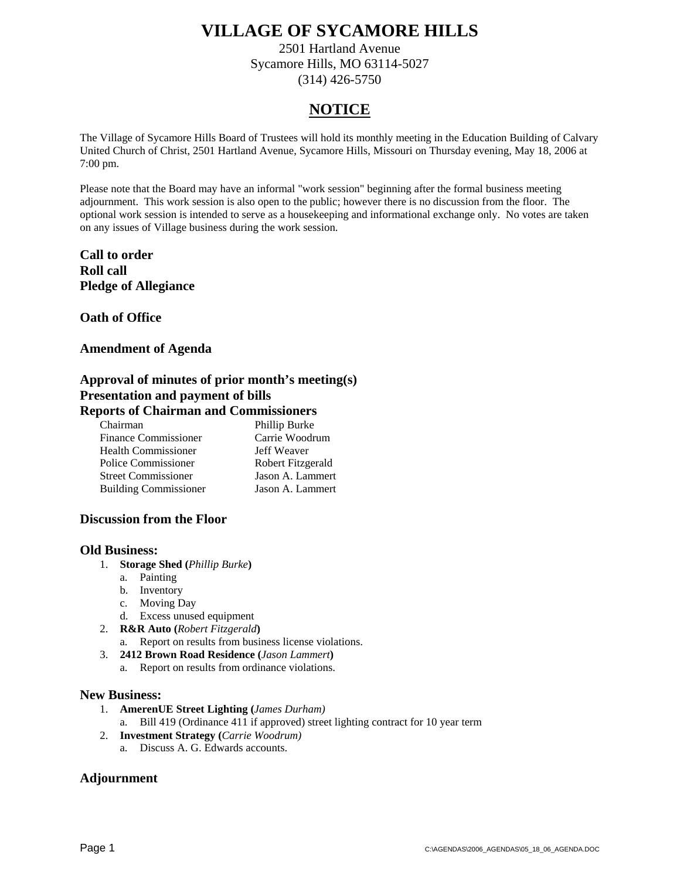2501 Hartland Avenue Sycamore Hills, MO 63114-5027 (314) 426-5750

### **NOTICE**

The Village of Sycamore Hills Board of Trustees will hold its monthly meeting in the Education Building of Calvary United Church of Christ, 2501 Hartland Avenue, Sycamore Hills, Missouri on Thursday evening, May 18, 2006 at 7:00 pm.

Please note that the Board may have an informal "work session" beginning after the formal business meeting adjournment. This work session is also open to the public; however there is no discussion from the floor. The optional work session is intended to serve as a housekeeping and informational exchange only. No votes are taken on any issues of Village business during the work session.

#### **Call to order Roll call Pledge of Allegiance**

**Oath of Office** 

#### **Amendment of Agenda**

### **Approval of minutes of prior month's meeting(s) Presentation and payment of bills**

#### **Reports of Chairman and Commissioners**

| Chairman                     | Phillip Burke     |
|------------------------------|-------------------|
| <b>Finance Commissioner</b>  | Carrie Woodrum    |
| <b>Health Commissioner</b>   | Jeff Weaver       |
| Police Commissioner          | Robert Fitzgerald |
| <b>Street Commissioner</b>   | Jason A. Lammert  |
| <b>Building Commissioner</b> | Jason A. Lammert  |

#### **Discussion from the Floor**

#### **Old Business:**

- 1. **Storage Shed (***Phillip Burke***)**
	- a. Painting
	- b. Inventory
	- c. Moving Day
	- d. Excess unused equipment
- 2. **R&R Auto (***Robert Fitzgerald***)**
	- a. Report on results from business license violations.
- 3. **2412 Brown Road Residence (***Jason Lammert***)**
	- a. Report on results from ordinance violations.

#### **New Business:**

- 1. **AmerenUE Street Lighting (***James Durham)*
	- a. Bill 419 (Ordinance 411 if approved) street lighting contract for 10 year term
- 2. **Investment Strategy (***Carrie Woodrum)*
	- a. Discuss A. G. Edwards accounts.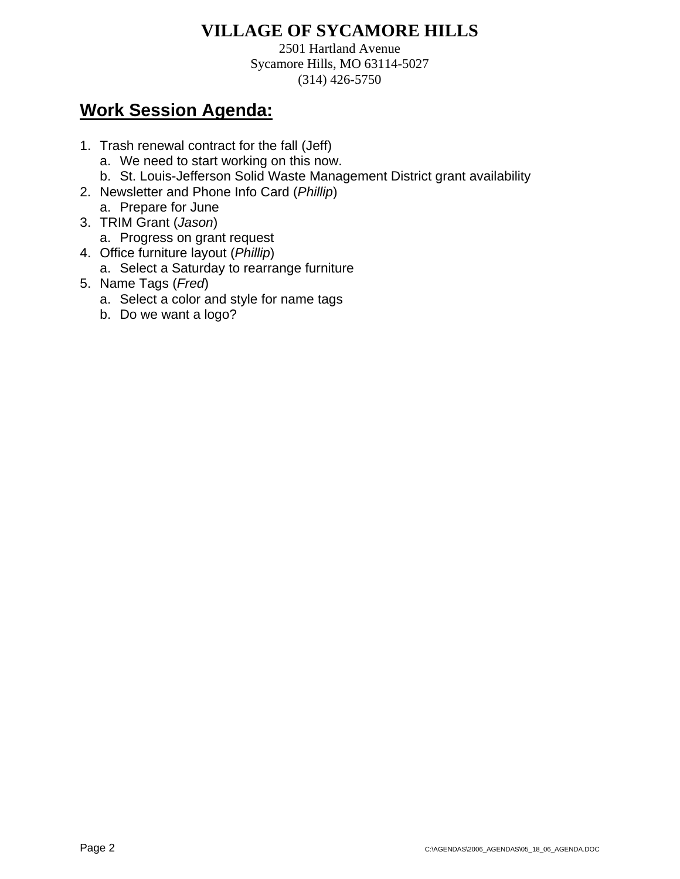2501 Hartland Avenue Sycamore Hills, MO 63114-5027 (314) 426-5750

- 1. Trash renewal contract for the fall (Jeff)
	- a. We need to start working on this now.
	- b. St. Louis-Jefferson Solid Waste Management District grant availability
- 2. Newsletter and Phone Info Card (*Phillip*) a. Prepare for June
- 3. TRIM Grant (*Jason*)
	- a. Progress on grant request
- 4. Office furniture layout (*Phillip*)
	- a. Select a Saturday to rearrange furniture
- 5. Name Tags (*Fred*)
	- a. Select a color and style for name tags
	- b. Do we want a logo?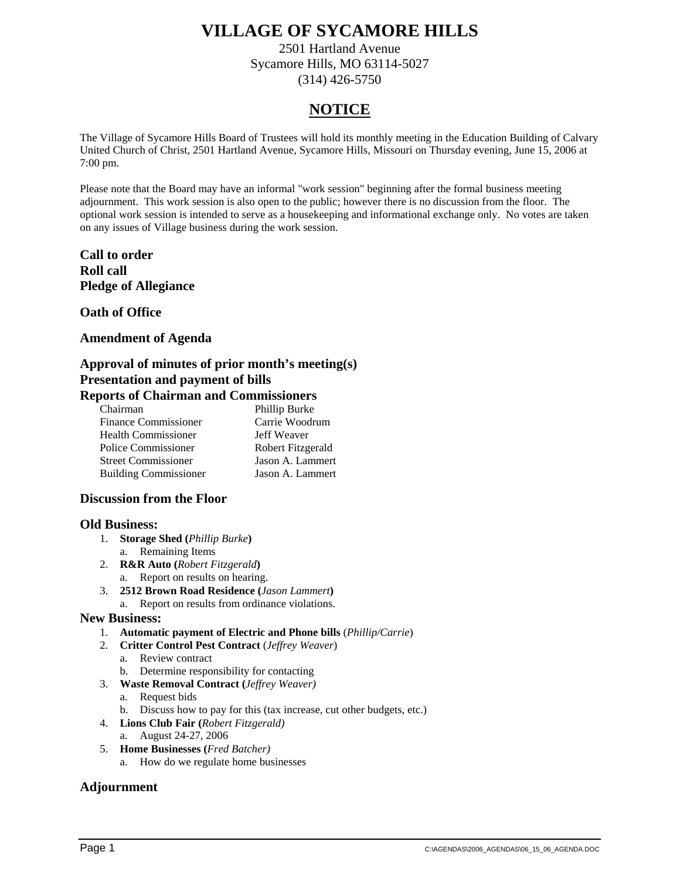2501 Hartland Avenue Sycamore Hills, MO 63114-5027 (314) 426-5750

### **NOTICE**

The Village of Sycamore Hills Board of Trustees will hold its monthly meeting in the Education Building of Calvary United Church of Christ, 2501 Hartland Avenue, Sycamore Hills, Missouri on Thursday evening, June 15, 2006 at 7:00 pm.

Please note that the Board may have an informal "work session" beginning after the formal business meeting adjournment. This work session is also open to the public; however there is no discussion from the floor. The optional work session is intended to serve as a housekeeping and informational exchange only. No votes are taken on any issues of Village business during the work session.

#### **Call to order Roll call Pledge of Allegiance**

**Oath of Office** 

#### **Amendment of Agenda**

#### **Approval of minutes of prior month's meeting(s) Presentation and payment of bills Reports of Chairman and Commissioners**

| Chairman                     | Phillip Burke     |
|------------------------------|-------------------|
| <b>Finance Commissioner</b>  | Carrie Woodrum    |
| <b>Health Commissioner</b>   | Jeff Weaver       |
| Police Commissioner          | Robert Fitzgerald |
| <b>Street Commissioner</b>   | Jason A. Lammert  |
| <b>Building Commissioner</b> | Jason A. Lammert  |
|                              |                   |

#### **Discussion from the Floor**

#### **Old Business:**

- 1. **Storage Shed (***Phillip Burke***)** a. Remaining Items
- 2. **R&R Auto (***Robert Fitzgerald***)**
	- a. Report on results on hearing.
- 3. **2512 Brown Road Residence (***Jason Lammert***)**
- a. Report on results from ordinance violations.

#### **New Business:**

- 1. **Automatic payment of Electric and Phone bills** (*Phillip/Carrie*)
- 2. **Critter Control Pest Contract** (*Jeffrey Weaver*)
	- a. Review contract
	- b. Determine responsibility for contacting
- 3. **Waste Removal Contract (***Jeffrey Weaver)*
	- a. Request bids
	- b. Discuss how to pay for this (tax increase, cut other budgets, etc.)
- 4. **Lions Club Fair (***Robert Fitzgerald)*
	- a. August 24-27, 2006
- 5. **Home Businesses (***Fred Batcher)*
	- a. How do we regulate home businesses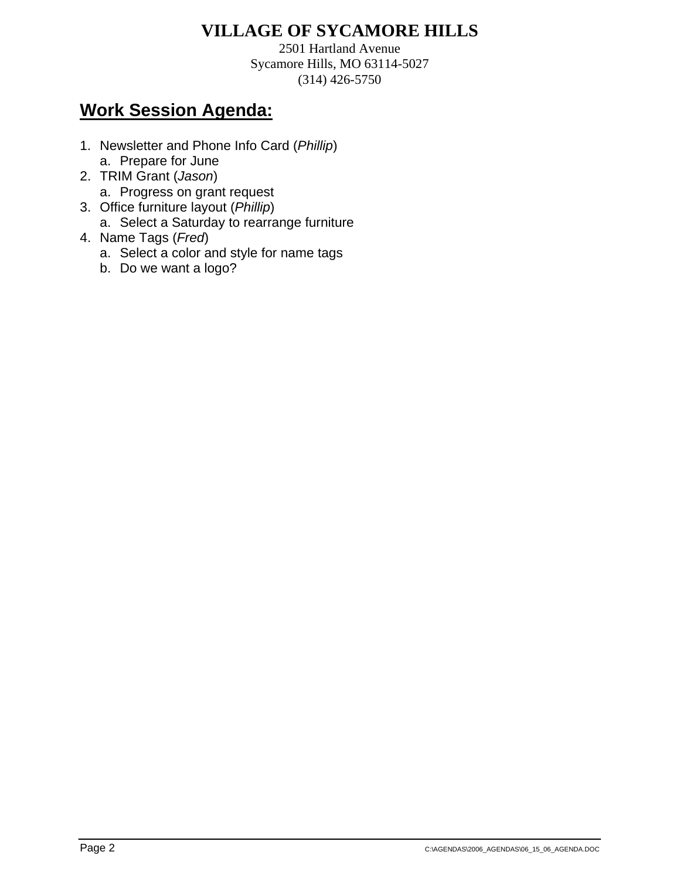2501 Hartland Avenue Sycamore Hills, MO 63114-5027 (314) 426-5750

- 1. Newsletter and Phone Info Card (*Phillip*) a. Prepare for June
- 2. TRIM Grant (*Jason*)
	- a. Progress on grant request
- 3. Office furniture layout (*Phillip*)
	- a. Select a Saturday to rearrange furniture
- 4. Name Tags (*Fred*)
	- a. Select a color and style for name tags
	- b. Do we want a logo?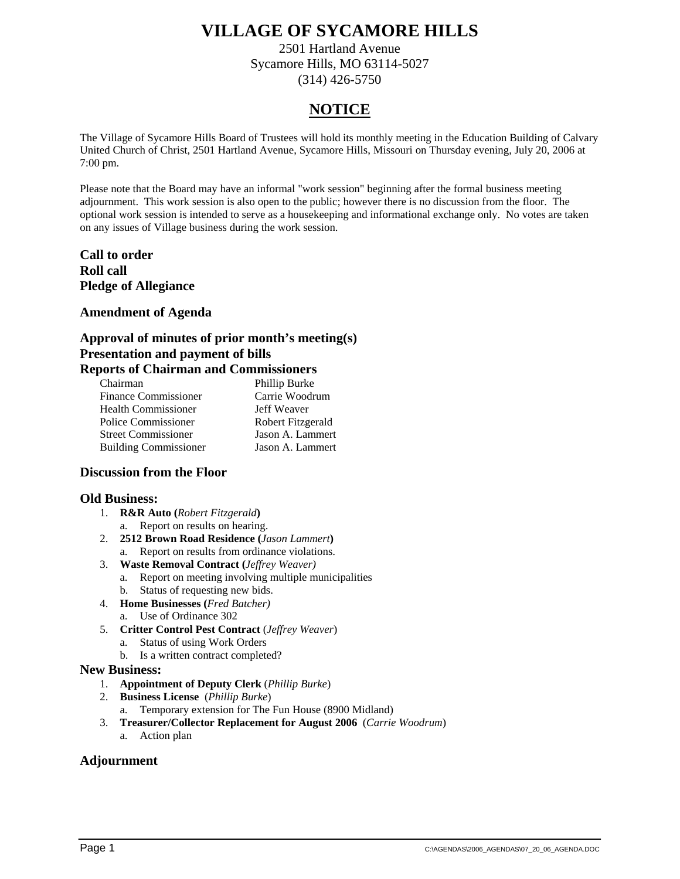2501 Hartland Avenue Sycamore Hills, MO 63114-5027 (314) 426-5750

### **NOTICE**

The Village of Sycamore Hills Board of Trustees will hold its monthly meeting in the Education Building of Calvary United Church of Christ, 2501 Hartland Avenue, Sycamore Hills, Missouri on Thursday evening, July 20, 2006 at 7:00 pm.

Please note that the Board may have an informal "work session" beginning after the formal business meeting adjournment. This work session is also open to the public; however there is no discussion from the floor. The optional work session is intended to serve as a housekeeping and informational exchange only. No votes are taken on any issues of Village business during the work session.

**Call to order Roll call Pledge of Allegiance** 

#### **Amendment of Agenda**

#### **Approval of minutes of prior month's meeting(s) Presentation and payment of bills Reports of Chairman and Commissioners**

| POLYS OF CHWALAHWAL WALW COMMANDED |                   |
|------------------------------------|-------------------|
| Chairman                           | Phillip Burke     |
| <b>Finance Commissioner</b>        | Carrie Woodrum    |
| <b>Health Commissioner</b>         | Jeff Weaver       |
| Police Commissioner                | Robert Fitzgerald |
| <b>Street Commissioner</b>         | Jason A. Lammert  |
| <b>Building Commissioner</b>       | Jason A. Lammert  |

#### **Discussion from the Floor**

#### **Old Business:**

- 1. **R&R Auto (***Robert Fitzgerald***)**
	- a. Report on results on hearing.
- 2. **2512 Brown Road Residence (***Jason Lammert***)**
	- a. Report on results from ordinance violations.
- 3. **Waste Removal Contract (***Jeffrey Weaver)*
	- a. Report on meeting involving multiple municipalities b. Status of requesting new bids.
- 4. **Home Businesses (***Fred Batcher)*
	- a. Use of Ordinance 302
- 5. **Critter Control Pest Contract** (*Jeffrey Weaver*)
	- a. Status of using Work Orders
	- b. Is a written contract completed?

#### **New Business:**

- 1. **Appointment of Deputy Clerk** (*Phillip Burke*)
- 2. **Business License** (*Phillip Burke*)
- a. Temporary extension for The Fun House (8900 Midland)
- 3. **Treasurer/Collector Replacement for August 2006** (*Carrie Woodrum*)
	- a. Action plan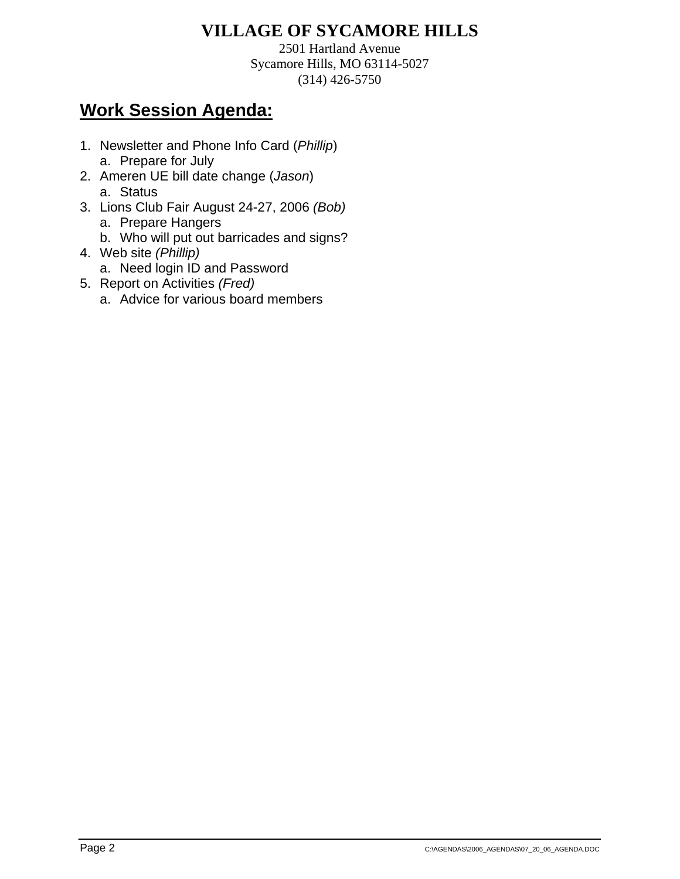2501 Hartland Avenue Sycamore Hills, MO 63114-5027 (314) 426-5750

- 1. Newsletter and Phone Info Card (*Phillip*) a. Prepare for July
- 2. Ameren UE bill date change (*Jason*) a. Status
- 3. Lions Club Fair August 24-27, 2006 *(Bob)*
	- a. Prepare Hangers
	- b. Who will put out barricades and signs?
- 4. Web site *(Phillip)*
	- a. Need login ID and Password
- 5. Report on Activities *(Fred)*
	- a. Advice for various board members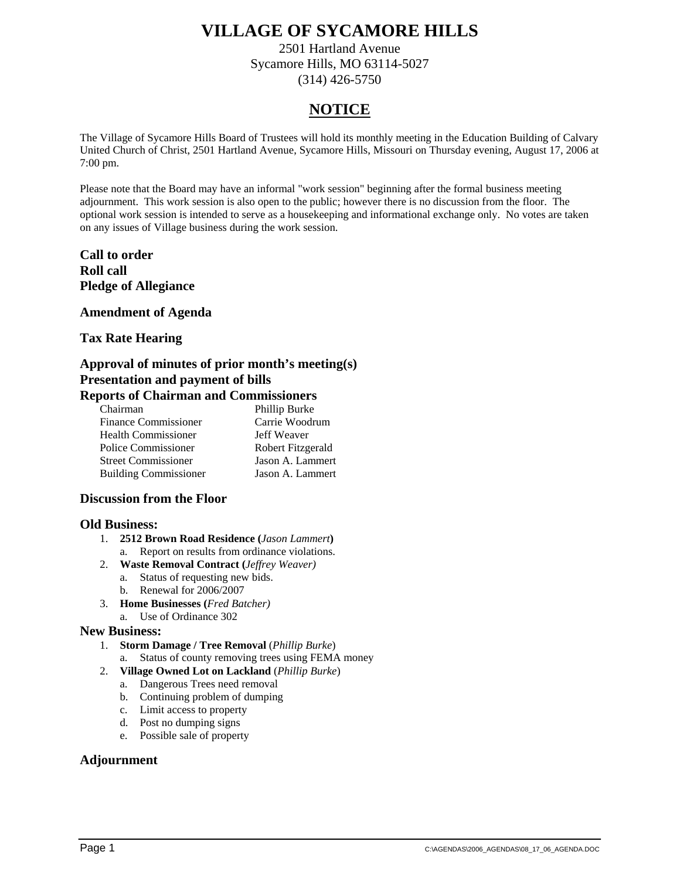2501 Hartland Avenue Sycamore Hills, MO 63114-5027 (314) 426-5750

### **NOTICE**

The Village of Sycamore Hills Board of Trustees will hold its monthly meeting in the Education Building of Calvary United Church of Christ, 2501 Hartland Avenue, Sycamore Hills, Missouri on Thursday evening, August 17, 2006 at 7:00 pm.

Please note that the Board may have an informal "work session" beginning after the formal business meeting adjournment. This work session is also open to the public; however there is no discussion from the floor. The optional work session is intended to serve as a housekeeping and informational exchange only. No votes are taken on any issues of Village business during the work session.

#### **Call to order Roll call Pledge of Allegiance**

#### **Amendment of Agenda**

#### **Tax Rate Hearing**

#### **Approval of minutes of prior month's meeting(s) Presentation and payment of bills Reports of Chairman and Commissioners**

| Chairman                     | Phillip Burke     |
|------------------------------|-------------------|
| <b>Finance Commissioner</b>  | Carrie Woodrum    |
| <b>Health Commissioner</b>   | Jeff Weaver       |
| Police Commissioner          | Robert Fitzgerald |
| <b>Street Commissioner</b>   | Jason A. Lammert  |
| <b>Building Commissioner</b> | Jason A. Lammert  |
|                              |                   |

#### **Discussion from the Floor**

#### **Old Business:**

- 1. **2512 Brown Road Residence (***Jason Lammert***)** a. Report on results from ordinance violations.
- 2. **Waste Removal Contract (***Jeffrey Weaver)*
	- a. Status of requesting new bids. b. Renewal for 2006/2007
- 3. **Home Businesses (***Fred Batcher)*
	- a. Use of Ordinance 302
	-

#### **New Business:**

- 1. **Storm Damage / Tree Removal** (*Phillip Burke*)
	- a. Status of county removing trees using FEMA money
- 2. **Village Owned Lot on Lackland** (*Phillip Burke*)
	- a. Dangerous Trees need removal
	- b. Continuing problem of dumping
	- c. Limit access to property
	- d. Post no dumping signs
	- e. Possible sale of property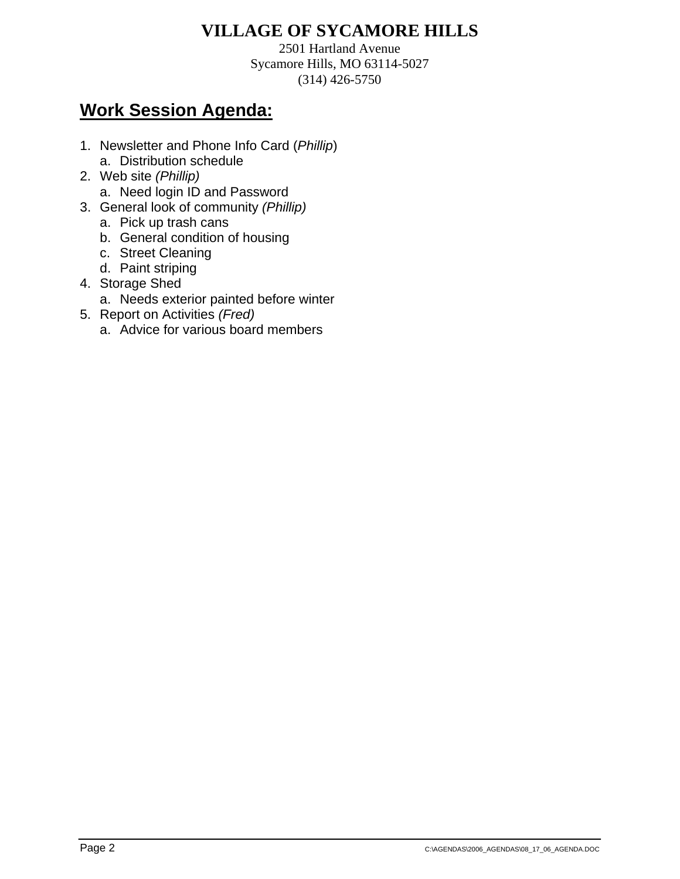2501 Hartland Avenue Sycamore Hills, MO 63114-5027 (314) 426-5750

- 1. Newsletter and Phone Info Card (*Phillip*) a. Distribution schedule
- 2. Web site *(Phillip)*
	- a. Need login ID and Password
- 3. General look of community *(Phillip)*
	- a. Pick up trash cans
	- b. General condition of housing
	- c. Street Cleaning
	- d. Paint striping
- 4. Storage Shed
	- a. Needs exterior painted before winter
- 5. Report on Activities *(Fred)*
	- a. Advice for various board members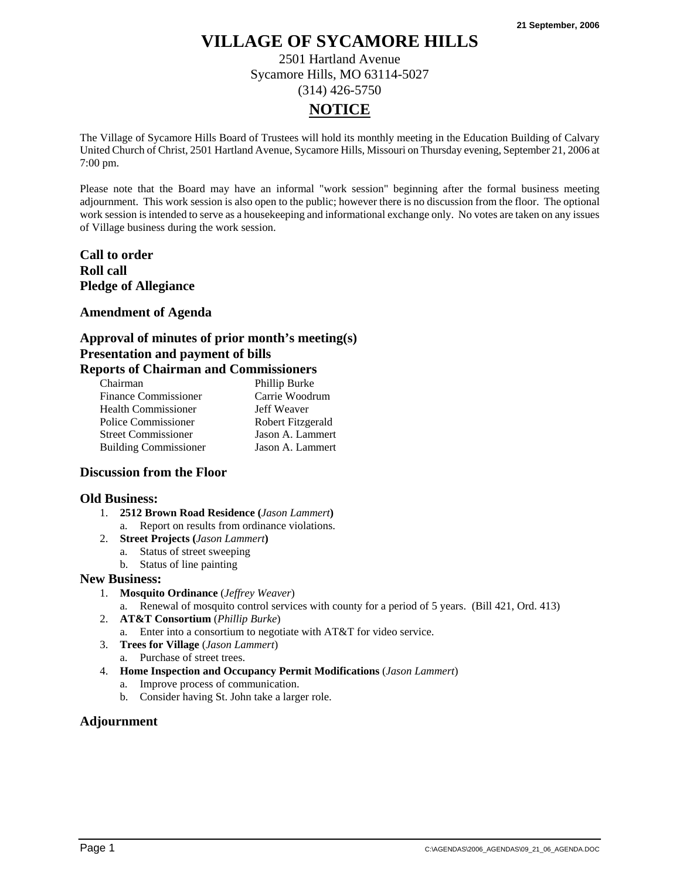2501 Hartland Avenue Sycamore Hills, MO 63114-5027 (314) 426-5750

### **NOTICE**

The Village of Sycamore Hills Board of Trustees will hold its monthly meeting in the Education Building of Calvary United Church of Christ, 2501 Hartland Avenue, Sycamore Hills, Missouri on Thursday evening, September 21, 2006 at 7:00 pm.

Please note that the Board may have an informal "work session" beginning after the formal business meeting adjournment. This work session is also open to the public; however there is no discussion from the floor. The optional work session is intended to serve as a housekeeping and informational exchange only. No votes are taken on any issues of Village business during the work session.

**Call to order Roll call Pledge of Allegiance** 

#### **Amendment of Agenda**

#### **Approval of minutes of prior month's meeting(s) Presentation and payment of bills Reports of Chairman and Commissioners**

| Chairman                     | Phillip Burke     |
|------------------------------|-------------------|
| <b>Finance Commissioner</b>  | Carrie Woodrum    |
| <b>Health Commissioner</b>   | Jeff Weaver       |
| Police Commissioner          | Robert Fitzgerald |
| <b>Street Commissioner</b>   | Jason A. Lammert  |
| <b>Building Commissioner</b> | Jason A. Lammert  |

#### **Discussion from the Floor**

#### **Old Business:**

- 1. **2512 Brown Road Residence (***Jason Lammert***)** a. Report on results from ordinance violations.
- 2. **Street Projects (***Jason Lammert***)**
	- a. Status of street sweeping
		- b. Status of line painting

#### **New Business:**

- 1. **Mosquito Ordinance** (*Jeffrey Weaver*)
	- a. Renewal of mosquito control services with county for a period of 5 years. (Bill 421, Ord. 413)
- 2. **AT&T Consortium** (*Phillip Burke*)
	- a. Enter into a consortium to negotiate with AT&T for video service.
- 3. **Trees for Village** (*Jason Lammert*)
	- a. Purchase of street trees.
- 4. **Home Inspection and Occupancy Permit Modifications** (*Jason Lammert*)
	- a. Improve process of communication.
	- b. Consider having St. John take a larger role.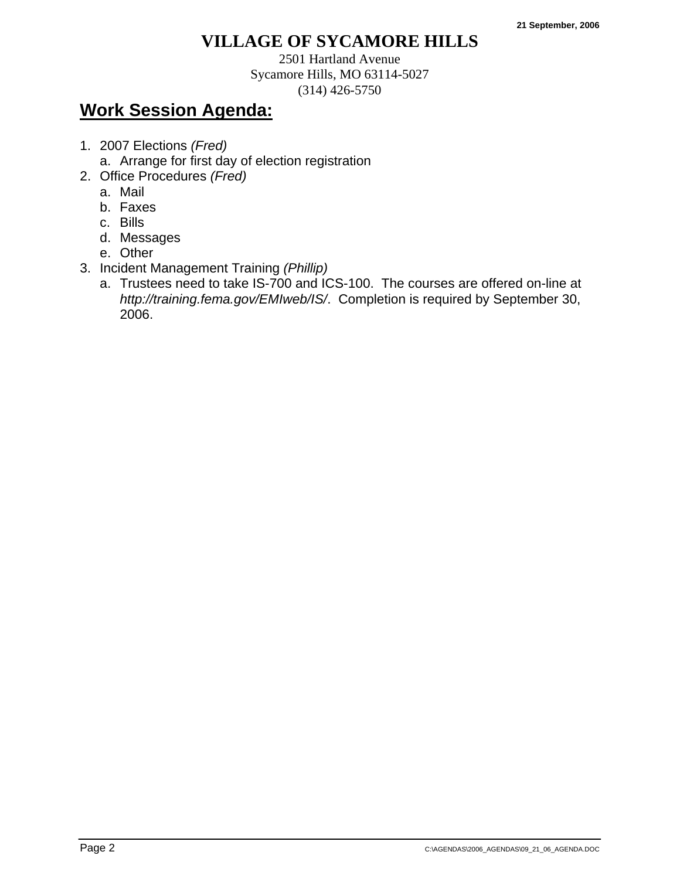2501 Hartland Avenue Sycamore Hills, MO 63114-5027 (314) 426-5750

- 1. 2007 Elections *(Fred)*
	- a. Arrange for first day of election registration
- 2. Office Procedures *(Fred)*
	- a. Mail
	- b. Faxes
	- c. Bills
	- d. Messages
	- e. Other
- 3. Incident Management Training *(Phillip)*
	- a. Trustees need to take IS-700 and ICS-100. The courses are offered on-line at *http://training.fema.gov/EMIweb/IS/*. Completion is required by September 30, 2006.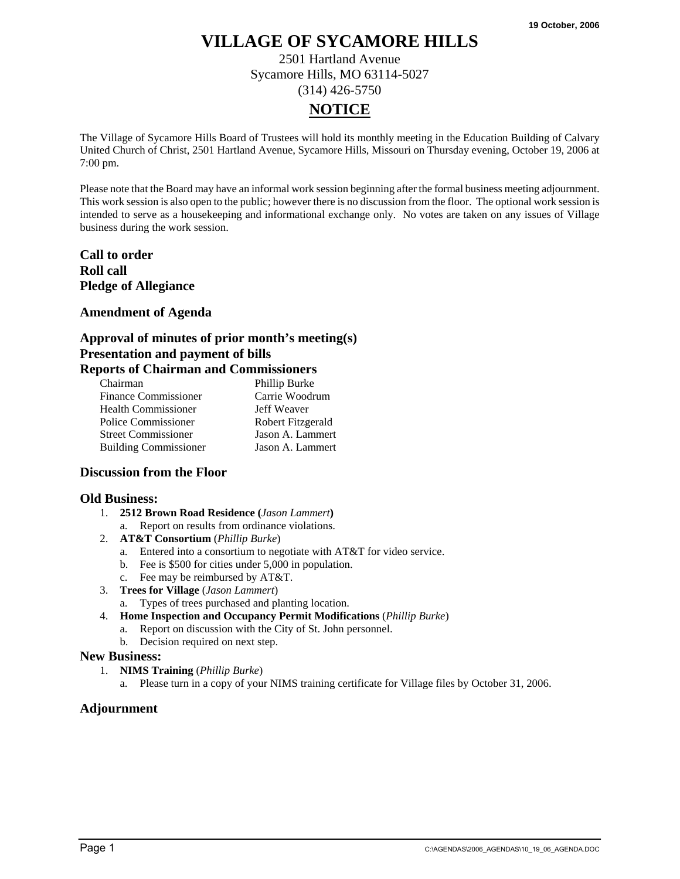2501 Hartland Avenue Sycamore Hills, MO 63114-5027 (314) 426-5750

### **NOTICE**

The Village of Sycamore Hills Board of Trustees will hold its monthly meeting in the Education Building of Calvary United Church of Christ, 2501 Hartland Avenue, Sycamore Hills, Missouri on Thursday evening, October 19, 2006 at 7:00 pm.

Please note that the Board may have an informal work session beginning after the formal business meeting adjournment. This work session is also open to the public; however there is no discussion from the floor. The optional work session is intended to serve as a housekeeping and informational exchange only. No votes are taken on any issues of Village business during the work session.

**Call to order Roll call Pledge of Allegiance** 

#### **Amendment of Agenda**

#### **Approval of minutes of prior month's meeting(s) Presentation and payment of bills Reports of Chairman and Commissioners**

| Chairman                     | Phillip Burke     |
|------------------------------|-------------------|
| <b>Finance Commissioner</b>  | Carrie Woodrum    |
| <b>Health Commissioner</b>   | Jeff Weaver       |
| Police Commissioner          | Robert Fitzgerald |
| <b>Street Commissioner</b>   | Jason A. Lammert  |
| <b>Building Commissioner</b> | Jason A. Lammert  |

#### **Discussion from the Floor**

#### **Old Business:**

- 1. **2512 Brown Road Residence (***Jason Lammert***)**
	- a. Report on results from ordinance violations.
- 2. **AT&T Consortium** (*Phillip Burke*)
	- a. Entered into a consortium to negotiate with AT&T for video service.
	- b. Fee is \$500 for cities under 5,000 in population.
	- c. Fee may be reimbursed by AT&T.
- 3. **Trees for Village** (*Jason Lammert*)
	- a. Types of trees purchased and planting location.
- 4. **Home Inspection and Occupancy Permit Modifications** (*Phillip Burke*)
	- a. Report on discussion with the City of St. John personnel.
	- b. Decision required on next step.

#### **New Business:**

- 1. **NIMS Training** (*Phillip Burke*)
	- a. Please turn in a copy of your NIMS training certificate for Village files by October 31, 2006.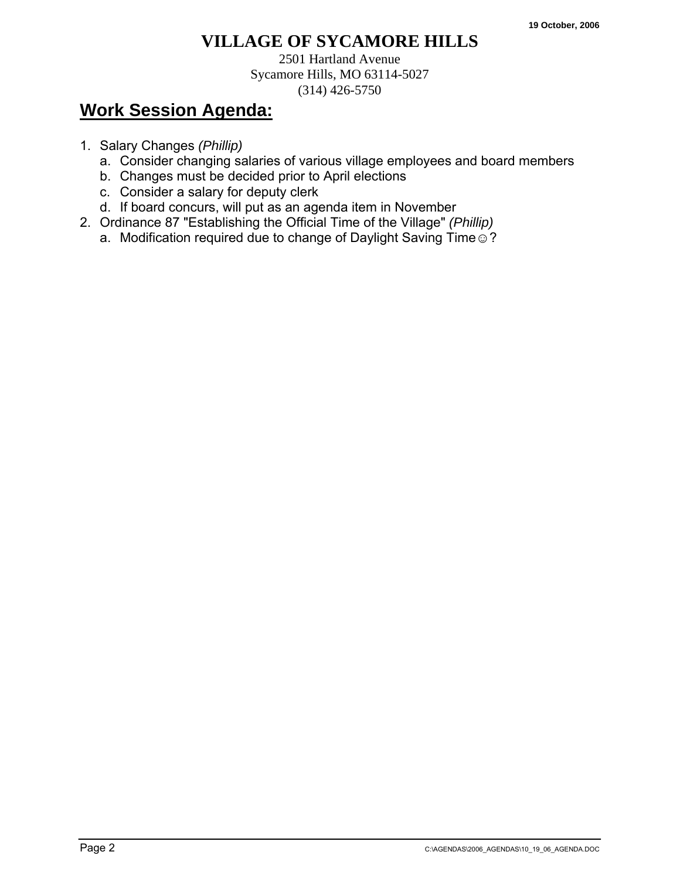2501 Hartland Avenue Sycamore Hills, MO 63114-5027 (314) 426-5750

- 1. Salary Changes *(Phillip)*
	- a. Consider changing salaries of various village employees and board members
	- b. Changes must be decided prior to April elections
	- c. Consider a salary for deputy clerk
	- d. If board concurs, will put as an agenda item in November
- 2. Ordinance 87 "Establishing the Official Time of the Village" *(Phillip)*
	- a. Modification required due to change of Daylight Saving Time .?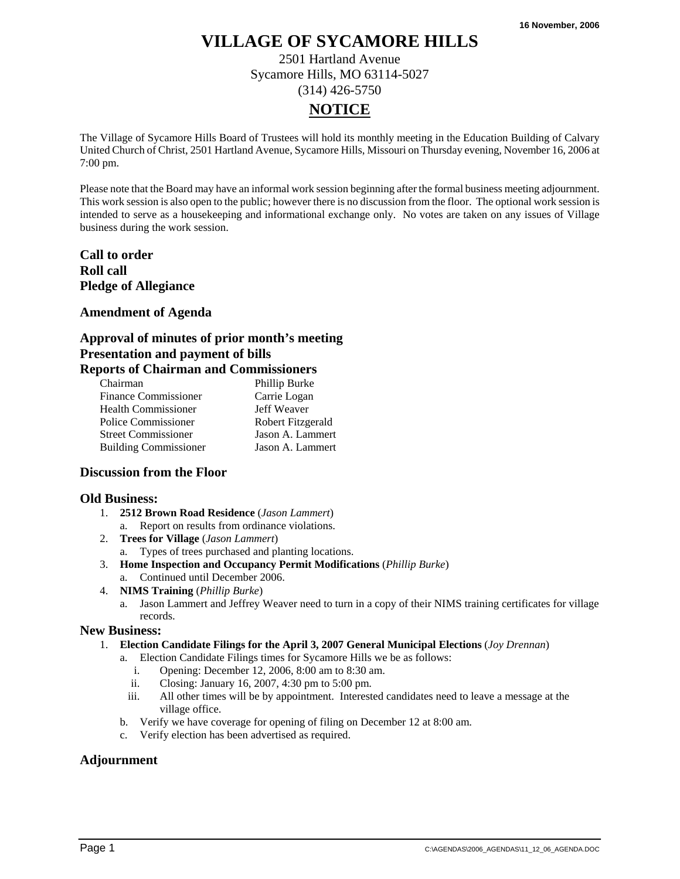2501 Hartland Avenue Sycamore Hills, MO 63114-5027 (314) 426-5750

### **NOTICE**

The Village of Sycamore Hills Board of Trustees will hold its monthly meeting in the Education Building of Calvary United Church of Christ, 2501 Hartland Avenue, Sycamore Hills, Missouri on Thursday evening, November 16, 2006 at 7:00 pm.

Please note that the Board may have an informal work session beginning after the formal business meeting adjournment. This work session is also open to the public; however there is no discussion from the floor. The optional work session is intended to serve as a housekeeping and informational exchange only. No votes are taken on any issues of Village business during the work session.

**Call to order Roll call Pledge of Allegiance** 

#### **Amendment of Agenda**

#### **Approval of minutes of prior month's meeting Presentation and payment of bills Reports of Chairman and Commissioners**

| Chairman                     | Phillip Burke     |
|------------------------------|-------------------|
| <b>Finance Commissioner</b>  | Carrie Logan      |
| <b>Health Commissioner</b>   | Jeff Weaver       |
| Police Commissioner          | Robert Fitzgerald |
| <b>Street Commissioner</b>   | Jason A. Lammert  |
| <b>Building Commissioner</b> | Jason A. Lammert  |

#### **Discussion from the Floor**

#### **Old Business:**

- 1. **2512 Brown Road Residence** (*Jason Lammert*) a. Report on results from ordinance violations.
- 2. **Trees for Village** (*Jason Lammert*)
	- a. Types of trees purchased and planting locations.
- 3. **Home Inspection and Occupancy Permit Modifications** (*Phillip Burke*)
	- a. Continued until December 2006.
- 4. **NIMS Training** (*Phillip Burke*)
	- a. Jason Lammert and Jeffrey Weaver need to turn in a copy of their NIMS training certificates for village records.

#### **New Business:**

- 1. **Election Candidate Filings for the April 3, 2007 General Municipal Elections** (*Joy Drennan*)
	- a. Election Candidate Filings times for Sycamore Hills we be as follows:
		- i. Opening: December 12, 2006, 8:00 am to 8:30 am.
		- ii. Closing: January 16, 2007, 4:30 pm to 5:00 pm.
		- iii. All other times will be by appointment. Interested candidates need to leave a message at the village office.
	- b. Verify we have coverage for opening of filing on December 12 at 8:00 am.
	- c. Verify election has been advertised as required.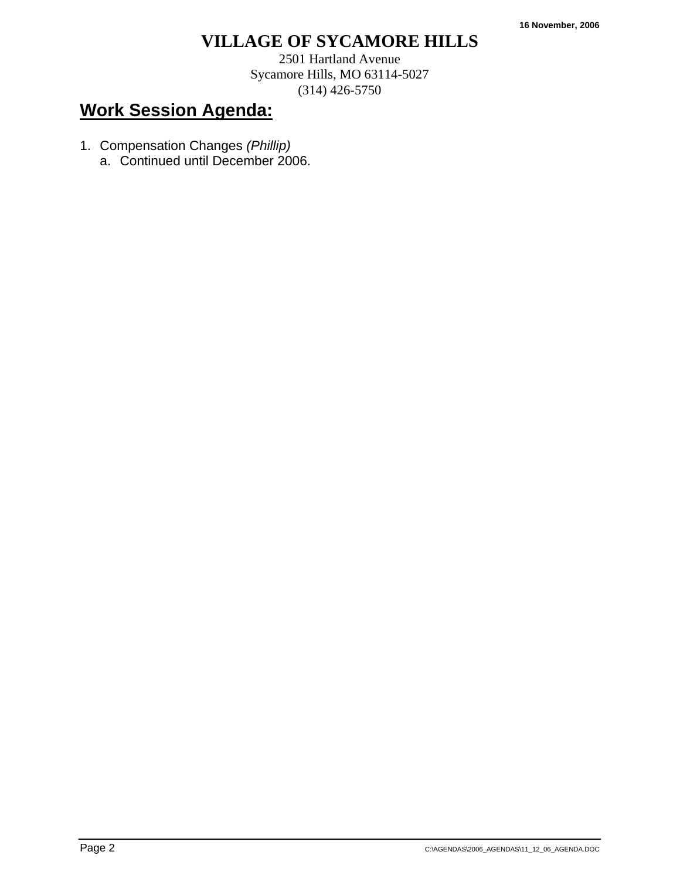2501 Hartland Avenue Sycamore Hills, MO 63114-5027 (314) 426-5750

- 1. Compensation Changes *(Phillip)* 
	- a. Continued until December 2006.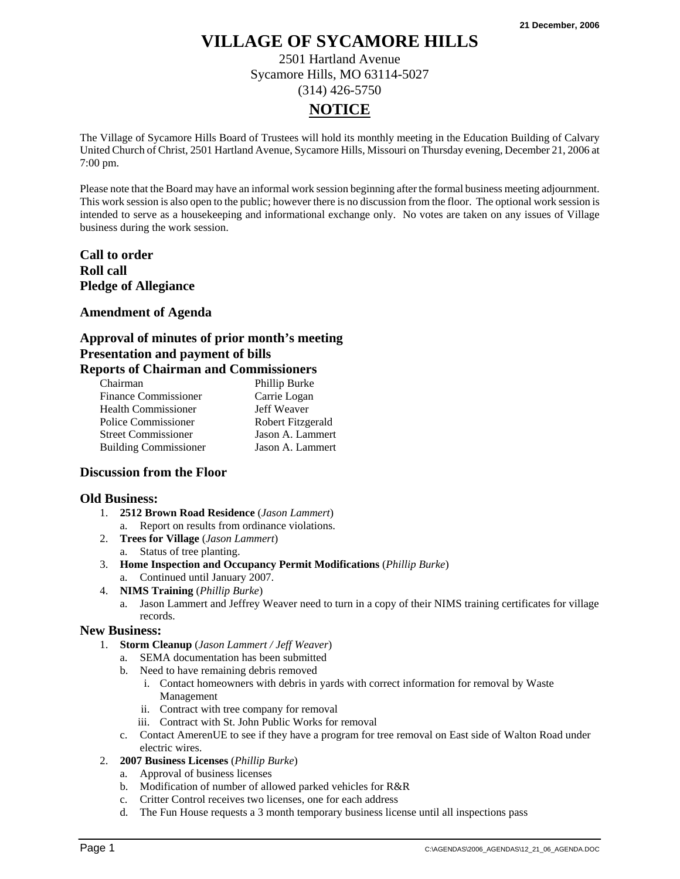2501 Hartland Avenue Sycamore Hills, MO 63114-5027 (314) 426-5750

### **NOTICE**

The Village of Sycamore Hills Board of Trustees will hold its monthly meeting in the Education Building of Calvary United Church of Christ, 2501 Hartland Avenue, Sycamore Hills, Missouri on Thursday evening, December 21, 2006 at 7:00 pm.

Please note that the Board may have an informal work session beginning after the formal business meeting adjournment. This work session is also open to the public; however there is no discussion from the floor. The optional work session is intended to serve as a housekeeping and informational exchange only. No votes are taken on any issues of Village business during the work session.

**Call to order Roll call Pledge of Allegiance** 

#### **Amendment of Agenda**

#### **Approval of minutes of prior month's meeting Presentation and payment of bills Reports of Chairman and Commissioners**

| Chairman                     | Phillip Burke     |
|------------------------------|-------------------|
| <b>Finance Commissioner</b>  | Carrie Logan      |
| <b>Health Commissioner</b>   | Jeff Weaver       |
| Police Commissioner          | Robert Fitzgerald |
| <b>Street Commissioner</b>   | Jason A. Lammert  |
| <b>Building Commissioner</b> | Jason A. Lammert  |

#### **Discussion from the Floor**

#### **Old Business:**

- 1. **2512 Brown Road Residence** (*Jason Lammert*) a. Report on results from ordinance violations.
- 2. **Trees for Village** (*Jason Lammert*)
	- a. Status of tree planting.
- 3. **Home Inspection and Occupancy Permit Modifications** (*Phillip Burke*)
	- a. Continued until January 2007.
- 4. **NIMS Training** (*Phillip Burke*)
	- a. Jason Lammert and Jeffrey Weaver need to turn in a copy of their NIMS training certificates for village records.

#### **New Business:**

- 1. **Storm Cleanup** (*Jason Lammert / Jeff Weaver*)
	- a. SEMA documentation has been submitted
	- b. Need to have remaining debris removed
		- i. Contact homeowners with debris in yards with correct information for removal by Waste Management
		- ii. Contract with tree company for removal
		- iii. Contract with St. John Public Works for removal
	- c. Contact AmerenUE to see if they have a program for tree removal on East side of Walton Road under electric wires.
- 2. **2007 Business Licenses** (*Phillip Burke*)
	- a. Approval of business licenses
	- b. Modification of number of allowed parked vehicles for R&R
	- c. Critter Control receives two licenses, one for each address
	- d. The Fun House requests a 3 month temporary business license until all inspections pass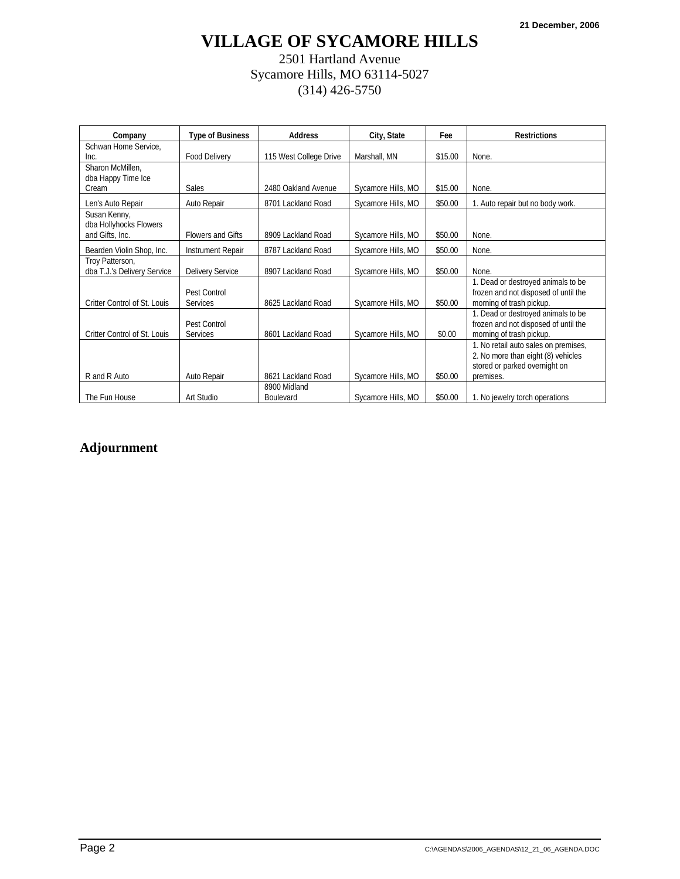### 2501 Hartland Avenue Sycamore Hills, MO 63114-5027 (314) 426-5750

| Company                                | <b>Type of Business</b>         | <b>Address</b>                   | City, State        | Fee     | <b>Restrictions</b>                                                                                                      |
|----------------------------------------|---------------------------------|----------------------------------|--------------------|---------|--------------------------------------------------------------------------------------------------------------------------|
| Schwan Home Service,<br>Inc.           | <b>Food Delivery</b>            | 115 West College Drive           | Marshall, MN       | \$15.00 | None.                                                                                                                    |
| Sharon McMillen.<br>dba Happy Time Ice | <b>Sales</b>                    | 2480 Oakland Avenue              |                    |         | None.                                                                                                                    |
| Cream                                  |                                 |                                  | Sycamore Hills, MO | \$15.00 |                                                                                                                          |
| Len's Auto Repair                      | Auto Repair                     | 8701 Lackland Road               | Sycamore Hills, MO | \$50.00 | 1. Auto repair but no body work.                                                                                         |
| Susan Kenny,<br>dba Hollyhocks Flowers |                                 |                                  |                    |         |                                                                                                                          |
| and Gifts, Inc.                        | <b>Flowers and Gifts</b>        | 8909 Lackland Road               | Sycamore Hills, MO | \$50.00 | None.                                                                                                                    |
| Bearden Violin Shop, Inc.              | <b>Instrument Repair</b>        | 8787 Lackland Road               | Sycamore Hills, MO | \$50.00 | None.                                                                                                                    |
| Troy Patterson,                        |                                 |                                  |                    |         |                                                                                                                          |
| dba T.J.'s Delivery Service            | <b>Delivery Service</b>         | 8907 Lackland Road               | Sycamore Hills, MO | \$50.00 | None.                                                                                                                    |
| Critter Control of St. Louis           | Pest Control<br><b>Services</b> | 8625 Lackland Road               | Sycamore Hills, MO | \$50.00 | 1. Dead or destroyed animals to be<br>frozen and not disposed of until the<br>morning of trash pickup.                   |
| Critter Control of St. Louis           | Pest Control<br><b>Services</b> | 8601 Lackland Road               | Sycamore Hills, MO | \$0.00  | 1. Dead or destroyed animals to be<br>frozen and not disposed of until the<br>morning of trash pickup.                   |
| R and R Auto                           | Auto Repair                     | 8621 Lackland Road               | Sycamore Hills, MO | \$50.00 | 1. No retail auto sales on premises,<br>2. No more than eight (8) vehicles<br>stored or parked overnight on<br>premises. |
| The Fun House                          | Art Studio                      | 8900 Midland<br><b>Boulevard</b> | Sycamore Hills, MO | \$50.00 | 1. No jewelry torch operations                                                                                           |